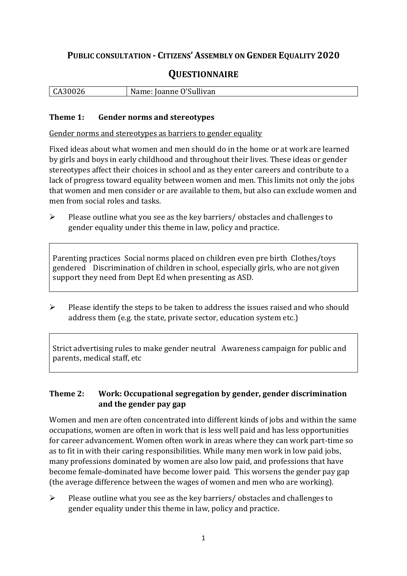## **PUBLIC CONSULTATION - CITIZENS' ASSEMBLY ON GENDER EQUALITY 2020**

# **QUESTIONNAIRE**

| CA30026 | Name: Joanne O'Sullivan |
|---------|-------------------------|
|         |                         |

#### **Theme 1: Gender norms and stereotypes**

Gender norms and stereotypes as barriers to gender equality

Fixed ideas about what women and men should do in the home or at work are learned by girls and boys in early childhood and throughout their lives. These ideas or gender stereotypes affect their choices in school and as they enter careers and contribute to a lack of progress toward equality between women and men. This limits not only the jobs that women and men consider or are available to them, but also can exclude women and men from social roles and tasks.

➢ Please outline what you see as the key barriers/ obstacles and challenges to gender equality under this theme in law, policy and practice.

Parenting practices Social norms placed on children even pre birth Clothes/toys gendered Discrimination of children in school, especially girls, who are not given support they need from Dept Ed when presenting as ASD.

➢ Please identify the steps to be taken to address the issues raised and who should address them (e.g. the state, private sector, education system etc.)

Strict advertising rules to make gender neutral Awareness campaign for public and parents, medical staff, etc

### **Theme 2: Work: Occupational segregation by gender, gender discrimination and the gender pay gap**

Women and men are often concentrated into different kinds of jobs and within the same occupations, women are often in work that is less well paid and has less opportunities for career advancement. Women often work in areas where they can work part-time so as to fit in with their caring responsibilities. While many men work in low paid jobs, many professions dominated by women are also low paid, and professions that have become female-dominated have become lower paid. This worsens the gender pay gap (the average difference between the wages of women and men who are working).

➢ Please outline what you see as the key barriers/ obstacles and challenges to gender equality under this theme in law, policy and practice.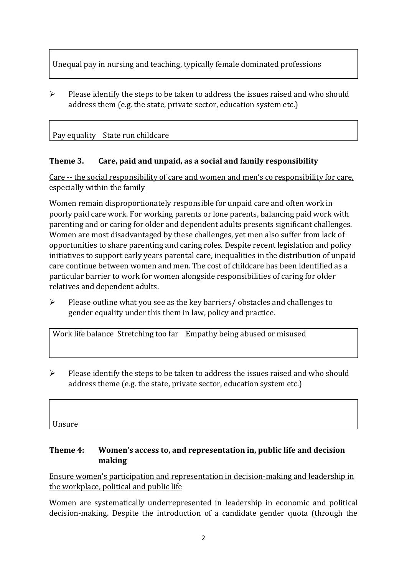Unequal pay in nursing and teaching, typically female dominated professions

 $\triangleright$  Please identify the steps to be taken to address the issues raised and who should address them (e.g. the state, private sector, education system etc.)

Pay equality State run childcare

## **Theme 3. Care, paid and unpaid, as a social and family responsibility**

Care -- the social responsibility of care and women and men's co responsibility for care, especially within the family

Women remain disproportionately responsible for unpaid care and often work in poorly paid care work. For working parents or [lone parents,](https://aran.library.nuigalway.ie/bitstream/handle/10379/6044/Millar_and_Crosse_Activation_Report.pdf?sequence=1&isAllowed=y) balancing paid work with parenting and or caring for older and dependent adults presents significant challenges. Women are [most disadvantaged by these challenges,](https://eige.europa.eu/gender-equality-index/game/IE/W) yet men also suffer from lack of opportunities to share parenting and caring roles. Despite recent legislation and policy initiatives to support early years parental care, [inequalities in the distribution of unpaid](https://www.ihrec.ie/app/uploads/2019/07/Caring-and-Unpaid-Work-in-Ireland_Final.pdf)  [care](https://www.ihrec.ie/app/uploads/2019/07/Caring-and-Unpaid-Work-in-Ireland_Final.pdf) continue between women and men. The cost of childcare has been identified as a particular barrier to work for women alongside responsibilities of caring for older relatives and dependent adults.

➢ Please outline what you see as the key barriers/ obstacles and challenges to gender equality under this them in law, policy and practice.

Work life balance Stretching too far Empathy being abused or misused

 $\triangleright$  Please identify the steps to be taken to address the issues raised and who should address theme (e.g. the state, private sector, education system etc.)

Unsure

### **Theme 4: Women's access to, and representation in, public life and decision making**

Ensure women's participation and representation in decision-making and leadership in the workplace, political and public life

Women are systematically underrepresented in leadership in [economic](https://eige.europa.eu/gender-equality-index/2019/compare-countries/power/2/bar) and [political](https://eige.europa.eu/gender-equality-index/2019/compare-countries/power/1/bar)  [decision-](https://eige.europa.eu/gender-equality-index/2019/compare-countries/power/1/bar)making. Despite the introduction of a candidate gender quota (through the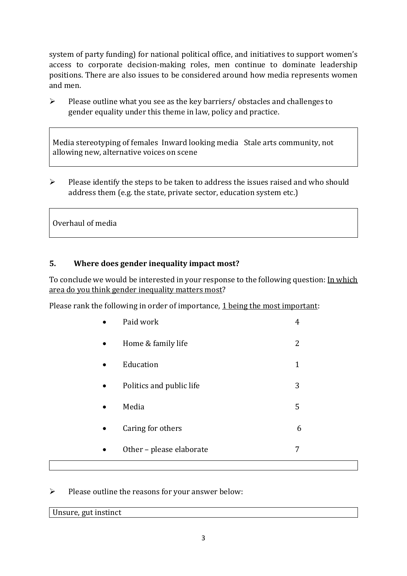system of party funding) for national political office, and [initiatives](https://betterbalance.ie/) to support women's access to corporate decision-making roles, men continue to dominate leadership positions. There are also issues to be considered around how media represents women and men.

➢ Please outline what you see as the key barriers/ obstacles and challenges to gender equality under this theme in law, policy and practice.

Media stereotyping of females Inward looking media Stale arts community, not allowing new, alternative voices on scene

➢ Please identify the steps to be taken to address the issues raised and who should address them (e.g. the state, private sector, education system etc.)

Overhaul of media

### **5. Where does gender inequality impact most?**

To conclude we would be interested in your response to the following question: In which area do you think gender inequality matters most?

Please rank the following in order of importance, 1 being the most important:

| Paid work                | 4 |  |
|--------------------------|---|--|
| Home & family life       | 2 |  |
| Education                | 1 |  |
| Politics and public life | 3 |  |
| Media                    | 5 |  |
| Caring for others        | 6 |  |
| Other - please elaborate | 7 |  |
|                          |   |  |

➢ Please outline the reasons for your answer below:

| л.<br>-------<br>t ınctınct<br>.<br>unci<br>``<br>$\sim$ 0.110 $\mu$ |  |  |
|----------------------------------------------------------------------|--|--|
|                                                                      |  |  |